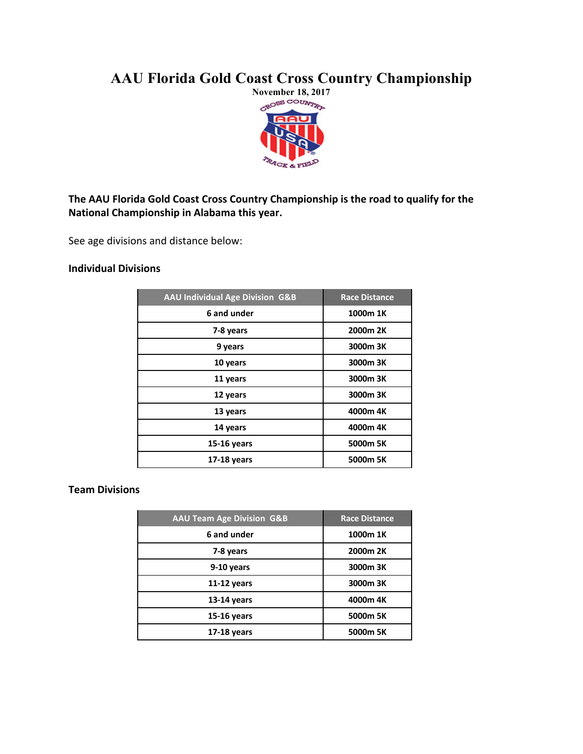# **AAU Florida Gold Coast Cross Country Championship**



## The AAU Florida Gold Coast Cross Country Championship is the road to qualify for the **National Championship in Alabama this year.**

See age divisions and distance below:

## **Individual Divisions**

| <b>AAU Individual Age Division G&amp;B</b> | <b>Race Distance</b> |
|--------------------------------------------|----------------------|
| 6 and under                                | 1000m 1K             |
| 7-8 years                                  | 2000m 2K             |
| 9 years                                    | 3000m 3K             |
| 10 years                                   | 3000m 3K             |
| 11 years                                   | 3000m 3K             |
| 12 years                                   | 3000m 3K             |
| 13 years                                   | 4000m 4K             |
| 14 years                                   | 4000m 4K             |
| 15-16 years                                | 5000m 5K             |
| 17-18 years                                | 5000m 5K             |

### **Team Divisions**

| <b>AAU Team Age Division G&amp;B</b> | <b>Race Distance</b> |
|--------------------------------------|----------------------|
| 6 and under                          | 1000m 1K             |
| 7-8 years                            | 2000m 2K             |
| 9-10 years                           | 3000m 3K             |
| $11-12$ years                        | 3000m 3K             |
| $13-14$ years                        | 4000m 4K             |
| 15-16 years                          | 5000m 5K             |
| 17-18 years                          | 5000m 5K             |